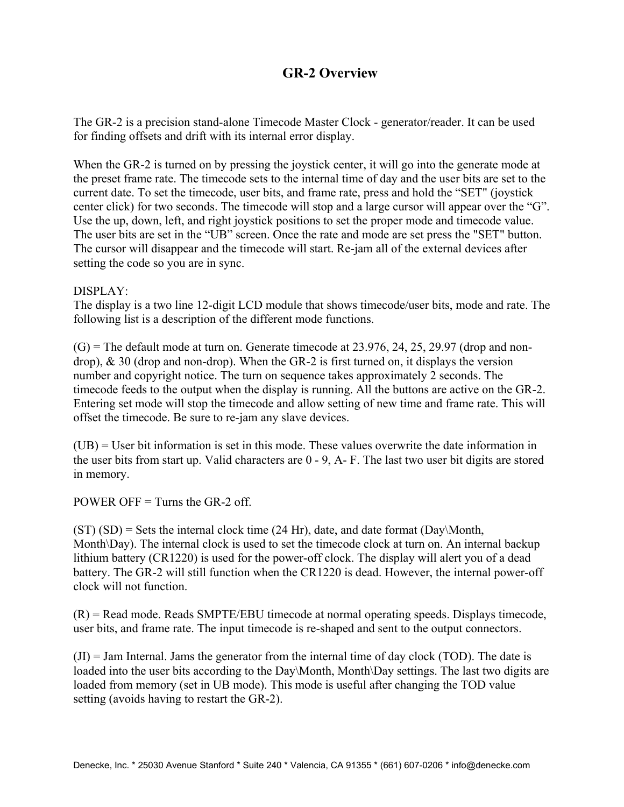# **GR-2 Overview**

The GR-2 is a precision stand-alone Timecode Master Clock - generator/reader. It can be used for finding offsets and drift with its internal error display.

When the GR-2 is turned on by pressing the joystick center, it will go into the generate mode at the preset frame rate. The timecode sets to the internal time of day and the user bits are set to the current date. To set the timecode, user bits, and frame rate, press and hold the "SET" (joystick center click) for two seconds. The timecode will stop and a large cursor will appear over the "G". Use the up, down, left, and right joystick positions to set the proper mode and timecode value. The user bits are set in the "UB" screen. Once the rate and mode are set press the "SET" button. The cursor will disappear and the timecode will start. Re-jam all of the external devices after setting the code so you are in sync.

#### DISPLAY:

The display is a two line 12-digit LCD module that shows timecode/user bits, mode and rate. The following list is a description of the different mode functions.

 $(G)$  = The default mode at turn on. Generate timecode at 23.976, 24, 25, 29.97 (drop and nondrop), & 30 (drop and non-drop). When the GR-2 is first turned on, it displays the version number and copyright notice. The turn on sequence takes approximately 2 seconds. The timecode feeds to the output when the display is running. All the buttons are active on the GR-2. Entering set mode will stop the timecode and allow setting of new time and frame rate. This will offset the timecode. Be sure to re-jam any slave devices.

(UB) = User bit information is set in this mode. These values overwrite the date information in the user bits from start up. Valid characters are 0 - 9, A- F. The last two user bit digits are stored in memory.

POWER OFF  $=$  Turns the GR-2 off.

 $(ST)(SD)$  = Sets the internal clock time (24 Hr), date, and date format (Day\Month, Month\Day). The internal clock is used to set the timecode clock at turn on. An internal backup lithium battery (CR1220) is used for the power-off clock. The display will alert you of a dead battery. The GR-2 will still function when the CR1220 is dead. However, the internal power-off clock will not function.

 $(R)$  = Read mode. Reads SMPTE/EBU timecode at normal operating speeds. Displays timecode, user bits, and frame rate. The input timecode is re-shaped and sent to the output connectors.

 $J(t) =$  Jam Internal. Jams the generator from the internal time of day clock (TOD). The date is loaded into the user bits according to the Day\Month, Month\Day settings. The last two digits are loaded from memory (set in UB mode). This mode is useful after changing the TOD value setting (avoids having to restart the GR-2).